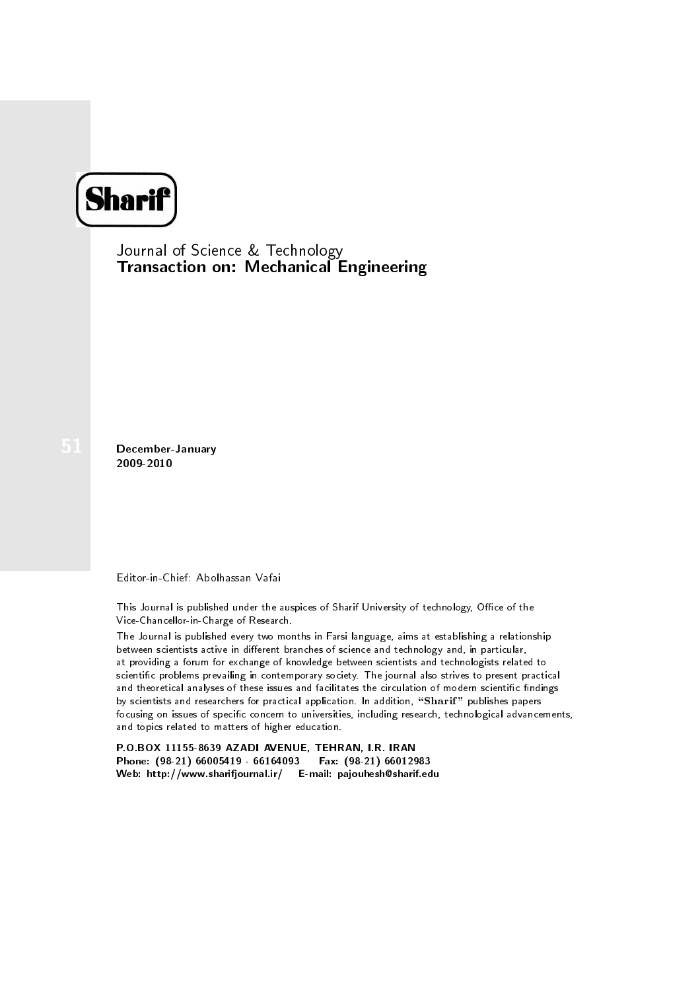

Journal of Science & Technology Transaction on: Mechanical Engineering

December-January 2009-2010

Editor-in-Chief: Abolhassan Vafai

This Journal is published under the auspices of Sharif University of technology, Office of the Vice-Chancellor-in-Charge of Research.

The Journal is published every two months in Farsi language, aims at establishing a relationship between scientists active in different branches of science and technology and, in particular, at providing a forum for exchange of knowledge between scientists and technologists related to scientic problems prevailing in contemporary society. The journal also strives to present practical and theoretical analyses of these issues and facilitates the circulation of modern scientific findings by scientists and researchers for practical application. In addition, "Sharif" publishes papers focusing on issues of specific concern to universities, including research, technological advancements, and topics related to matters of higher education.

P.O.BOX 11155-8639 AZADI AVENUE, TEHRAN, I.R. IRAN Phone: (98-21) 66005419 - 66164093 Fax: (98-21) 66012983 Web: http://www.sharifjournal.ir/ E-mail: pajouhesh@sharif.edu